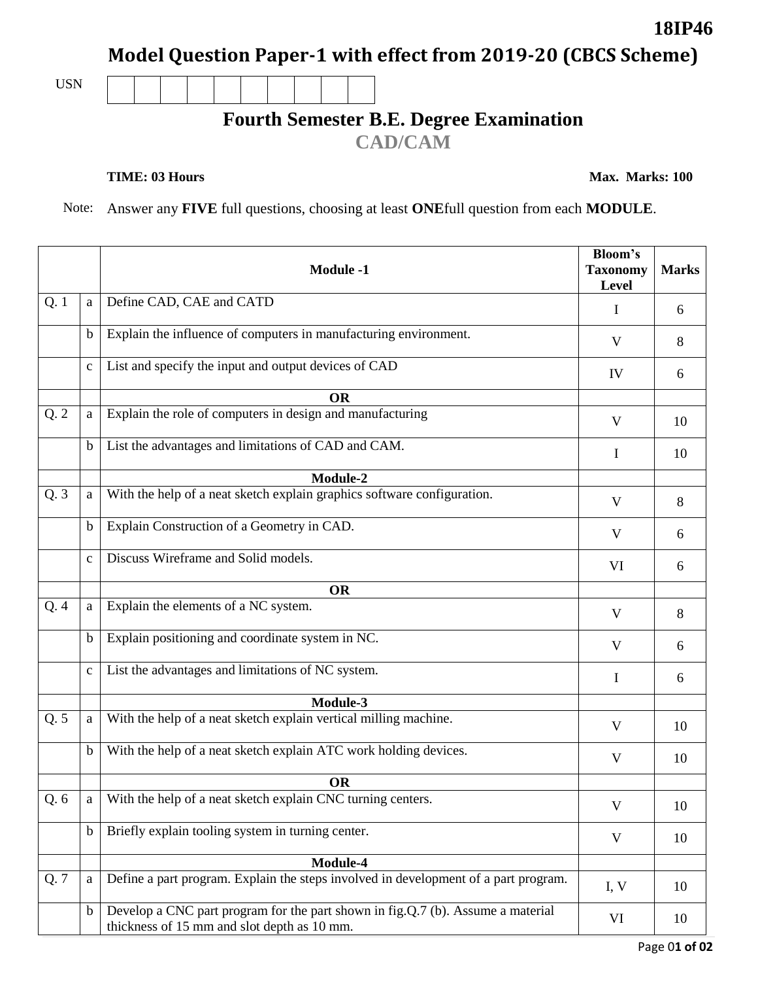**Model Question Paper-1 with effect from 2019-20 (CBCS Scheme)**

USN

## **Fourth Semester B.E. Degree Examination**

**CAD/CAM**

**TIME: 03 Hours** Max. Marks: 100

**18IP46**

Note: Answer any **FIVE** full questions, choosing at least **ONE**full question from each **MODULE**.

|      |              | <b>Module -1</b>                                                                                                               | <b>Bloom's</b><br><b>Taxonomy</b><br>Level | <b>Marks</b> |
|------|--------------|--------------------------------------------------------------------------------------------------------------------------------|--------------------------------------------|--------------|
| Q.1  | a            | Define CAD, CAE and CATD                                                                                                       | I                                          | 6            |
|      | $\mathbf b$  | Explain the influence of computers in manufacturing environment.                                                               | V                                          | 8            |
|      | $\mathbf{C}$ | List and specify the input and output devices of CAD                                                                           | IV                                         | 6            |
|      |              | <b>OR</b>                                                                                                                      |                                            |              |
| Q.2  | a            | Explain the role of computers in design and manufacturing                                                                      | V                                          | 10           |
|      | $\mathbf b$  | List the advantages and limitations of CAD and CAM.                                                                            | I                                          | 10           |
|      |              | Module-2                                                                                                                       |                                            |              |
| Q.3  | a            | With the help of a neat sketch explain graphics software configuration.                                                        | V                                          | 8            |
|      | $\mathbf b$  | Explain Construction of a Geometry in CAD.                                                                                     | V                                          | 6            |
|      | $\mathbf c$  | Discuss Wireframe and Solid models.                                                                                            | VI                                         | 6            |
|      |              | <b>OR</b>                                                                                                                      |                                            |              |
| Q.4  | a            | Explain the elements of a NC system.                                                                                           | V                                          | 8            |
|      | $\mathbf b$  | Explain positioning and coordinate system in NC.                                                                               | V                                          | 6            |
|      | $\mathbf c$  | List the advantages and limitations of NC system.                                                                              | I                                          | 6            |
|      |              | Module-3                                                                                                                       |                                            |              |
| Q.5  | a            | With the help of a neat sketch explain vertical milling machine.                                                               | V                                          | 10           |
|      | $\mathbf b$  | With the help of a neat sketch explain ATC work holding devices.                                                               | V                                          | 10           |
|      |              | <b>OR</b>                                                                                                                      |                                            |              |
| Q. 6 | a            | With the help of a neat sketch explain CNC turning centers.                                                                    | V                                          | 10           |
|      | $\mathbf b$  | Briefly explain tooling system in turning center.                                                                              | V                                          | 10           |
|      |              | Module-4                                                                                                                       |                                            |              |
| Q. 7 | a            | Define a part program. Explain the steps involved in development of a part program.                                            | I, V                                       | 10           |
|      | $\mathbf b$  | Develop a CNC part program for the part shown in fig.Q.7 (b). Assume a material<br>thickness of 15 mm and slot depth as 10 mm. | VI                                         | 10           |